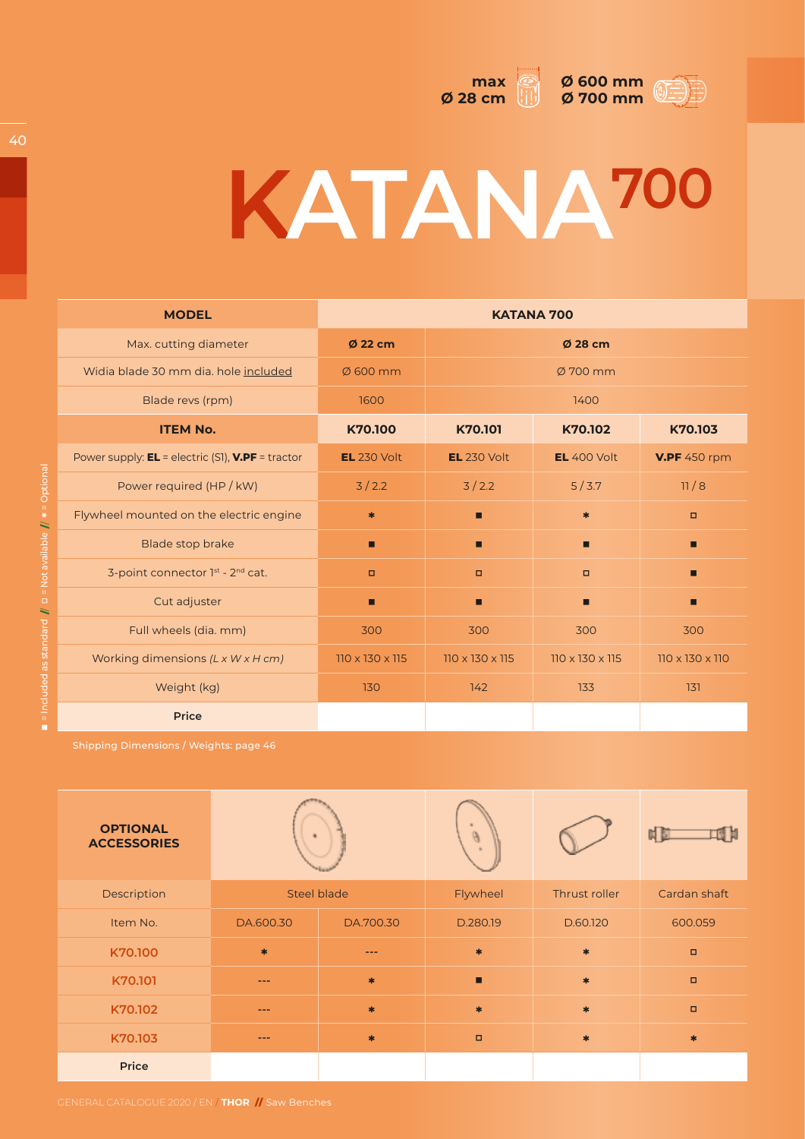



## **KATANA700**

| <b>MODEL</b>                                          | <b>KATANA 700</b>           |                             |                             |                             |  |
|-------------------------------------------------------|-----------------------------|-----------------------------|-----------------------------|-----------------------------|--|
| Max. cutting diameter                                 | Ø 22 cm                     | Ø 28 cm                     |                             |                             |  |
| Widia blade 30 mm dia. hole included                  | $\emptyset$ 600 mm          | $\varnothing$ 700 mm        |                             |                             |  |
| Blade revs (rpm)                                      | 1600                        | 1400                        |                             |                             |  |
| <b>ITEM No.</b>                                       | K70.100                     | K70.101                     | K70.102                     | K70.103                     |  |
| Power supply: $EL =$ electric (S1), $V.PF =$ tractor  | <b>EL</b> 230 Volt          | <b>EL</b> 230 Volt          | <b>EL</b> 400 Volt          | <b>V.PF</b> 450 rpm         |  |
| Power required (HP / kW)                              | 3/2.2                       | 3/2.2                       | 5/3.7                       | 11/8                        |  |
| Flywheel mounted on the electric engine               | $\ast$                      | П                           | $\ast$                      | $\Box$                      |  |
| <b>Blade stop brake</b>                               | ▪                           | П                           | П                           | П                           |  |
| 3-point connector 1st - 2nd cat.                      | $\Box$                      | $\Box$                      | $\Box$                      | П                           |  |
| Cut adjuster                                          | ▪                           | П                           | П                           | П                           |  |
| Full wheels (dia. mm)                                 | 300                         | 300                         | 300                         | 300                         |  |
| Working dimensions $(L \times W \times H \text{ cm})$ | $110 \times 130 \times 115$ | $110 \times 130 \times 115$ | $110 \times 130 \times 115$ | $110 \times 130 \times 110$ |  |
| Weight (kg)                                           | 130                         | 142                         | 133                         | 131                         |  |
| <b>Price</b>                                          |                             |                             |                             |                             |  |

| <b>OPTIONAL</b><br><b>ACCESSORIES</b> |                    |           |          |               |              |
|---------------------------------------|--------------------|-----------|----------|---------------|--------------|
| Description                           | <b>Steel blade</b> |           | Flywheel | Thrust roller | Cardan shaft |
| Item No.                              | DA.600.30          | DA.700.30 | D.280.19 | D.60.120      | 600.059      |
| K70.100                               | $\ast$             | ---       | $\ast$   | $\ast$        | $\Box$       |
| K70.101                               | $---$              | $\ast$    | п        | $\frac{1}{2}$ | $\Box$       |
| K70.102                               | $- - -$            | $\ast$    | $\ast$   | $\ast$        | $\Box$       |
| K70.103                               | $---$              | $\ast$    | $\Box$   | $\frac{1}{2}$ | $\ast$       |
| Price                                 |                    |           |          |               |              |

40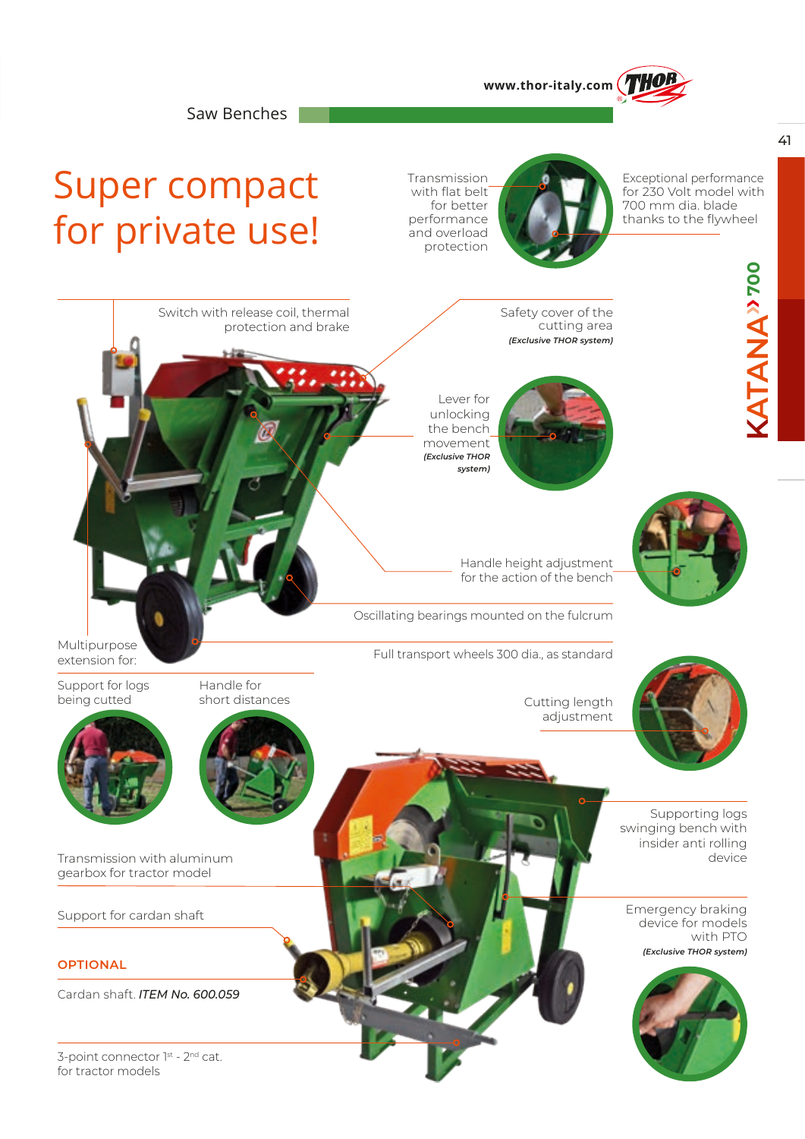

Saw Benches

Switch with release coil, thermal

protection and brake

## Super compact for private use!

Transmission with flat belt for better performance and overload protection



Exceptional performance for 230 Volt model with 700 mm dia. blade thanks to the flywheel

Safety cover of the cutting area *(Exclusive THOR system)*

Lever for unlocking the bench movement *(Exclusive THOR system)*

Handle height adjustment for the action of the bench

Oscillating bearings mounted on the fulcrum

Multipurpose<br>
Full transport wheels 300 dia., as standard Multipurpose

Cutting length adjustment



Supporting logs swinging bench with insider anti rolling

Emergency braking device for models with PTO *(Exclusive THOR system)*



Support for logs being cutted

extension for:



Transmission with aluminum device the contract of the contract of the contract of the contract of the contract of the contract of the contract of the contract of the contract of the contract of the contract of the contract gearbox for tractor model

Support for cardan shaft

**OPTIONAL**

Cardan shaft. *ITEM No. 600.059*

3-point connector 1st - 2<sup>nd</sup> cat. for tractor models

**KATANA**

**ATANA**